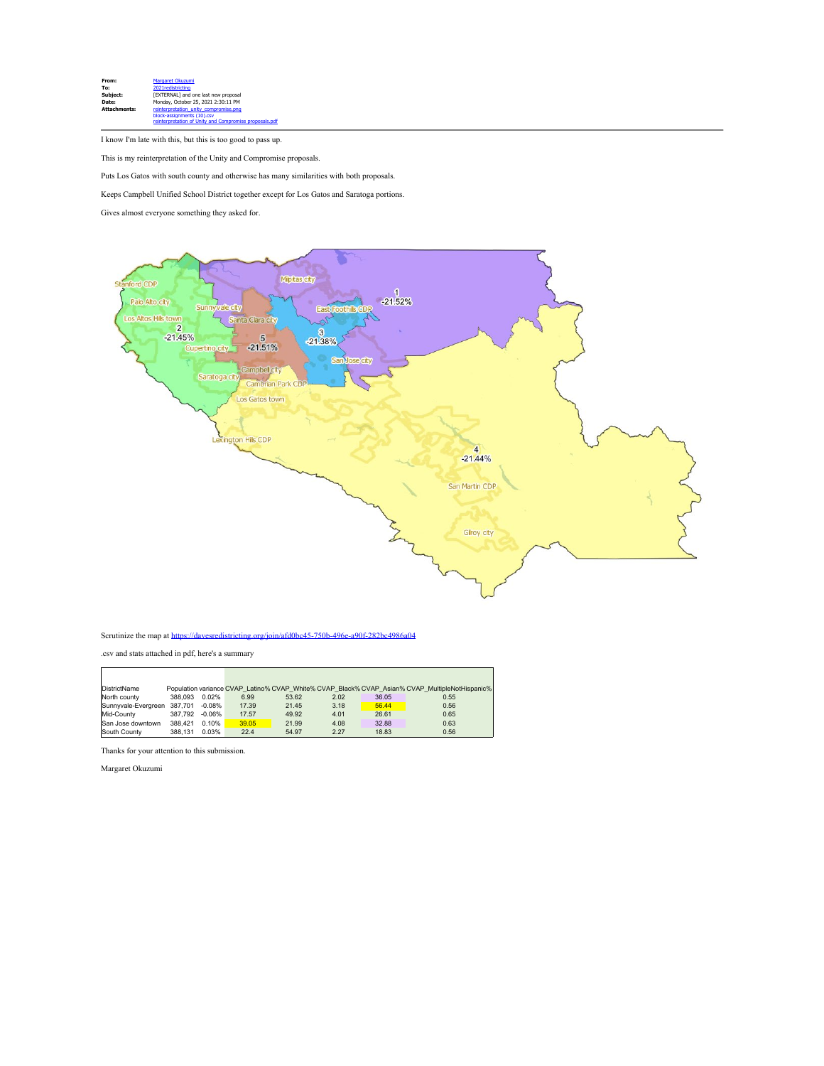

I know I'm late with this, but this is too good to pass up.

This is my reinterpretation of the Unity and Compromise proposals.

Puts Los Gatos with south county and otherwise has many similarities with both proposals.

Keeps Campbell Unified School District together except for Los Gatos and Saratoga portions.

Gives almost everyone something they asked for.



## Scrutinize the map at [https://davesredistricting.org/join/afd0bc45-750b-496e-a90f-282bc4986a04](https://urldefense.proofpoint.com/v2/url?u=https-3A__davesredistricting.org_join_afd0bc45-2D750b-2D496e-2Da90f-2D282bc4986a04&d=DwMFaQ&c=jIuf2QGe13CVwCCNhnnHSyGX0TfHadH8sr2VwRkl7n8&r=RepaReAKE3aZP5LTtEE54B-qDmJVEpSlKtFBjKidatA&m=iF0dvzmdgE_IuyWmHYlTlqXLS86LnPDTPKqJJE8kGmA&s=wowbSvqAQmJRwxO7xbFOjiKG3zTQmhm3w4SJ4G7cpyk&e=)

.csv and stats attached in pdf, here's a summary

| DistrictName                |         |           |       |       |      |       | Population variance CVAP Latino% CVAP White% CVAP Black% CVAP Asian% CVAP MultipleNotHispanic% |
|-----------------------------|---------|-----------|-------|-------|------|-------|------------------------------------------------------------------------------------------------|
| North county                | 388.093 | 0.02%     | 6.99  | 53.62 | 2.02 | 36.05 | 0.55                                                                                           |
| Sunnvvale-Evergreen 387.701 |         | $-0.08\%$ | 17.39 | 21.45 | 3.18 | 56.44 | 0.56                                                                                           |
| Mid-County                  | 387.792 | -0.06%    | 17.57 | 49.92 | 4.01 | 26.61 | 0.65                                                                                           |
| San Jose downtown           | 388,421 | 0.10%     | 39.05 | 21.99 | 4.08 | 32.88 | 0.63                                                                                           |
| South County                | 388.131 | 0.03%     | 22.4  | 54.97 | 2.27 | 18.83 | 0.56                                                                                           |

Thanks for your attention to this submission.

Margaret Okuzumi